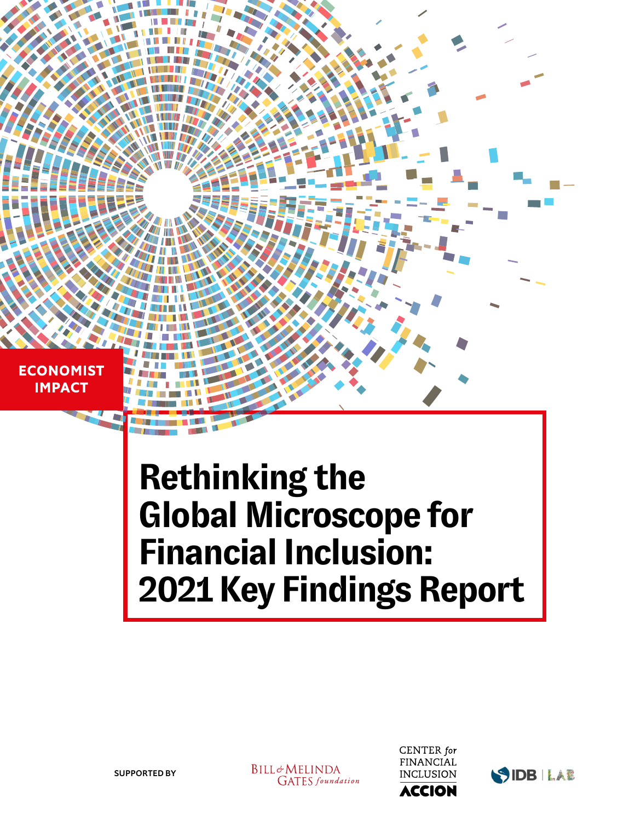**ECONOMIST IMPACT** 

# **Rethinking the Global Microscope for Financial Inclusion: 2021 Key Findings Report**

**BILL**&MELINDA **GATES** foundation



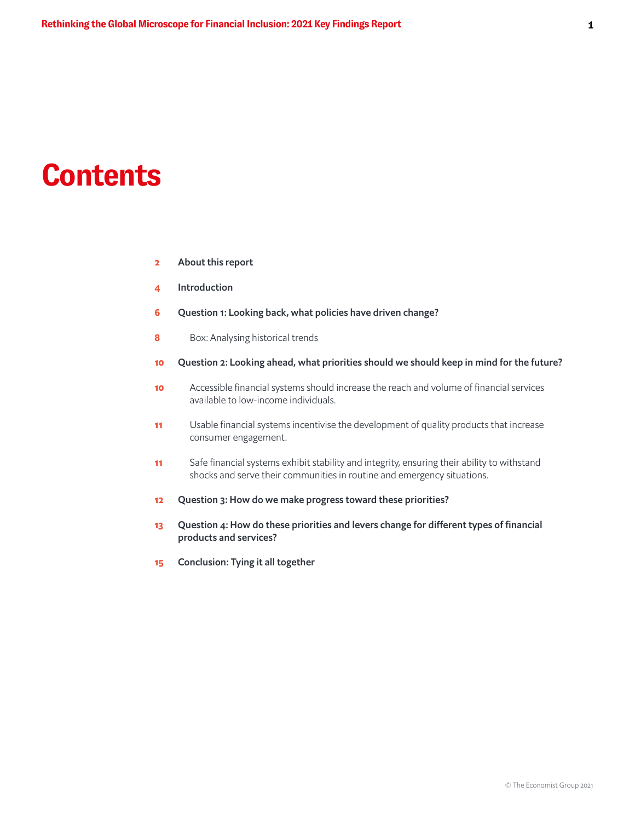## **Contents**

- 2 About this report
- 4 Introduction
- 6 Question 1: Looking back, what policies have driven change?
- 8 Box: Analysing historical trends
- 10 Question 2: Looking ahead, what priorities should we should keep in mind for the future?
- 10 Accessible financial systems should increase the reach and volume of financial services available to low-income individuals.
- 11 Usable financial systems incentivise the development of quality products that increase consumer engagement.
- 11 Safe financial systems exhibit stability and integrity, ensuring their ability to withstand shocks and serve their communities in routine and emergency situations.
- 12 Question 3: How do we make progress toward these priorities?
- 13 Question 4: How do these priorities and levers change for different types of financial products and services?
- 15 Conclusion: Tying it all together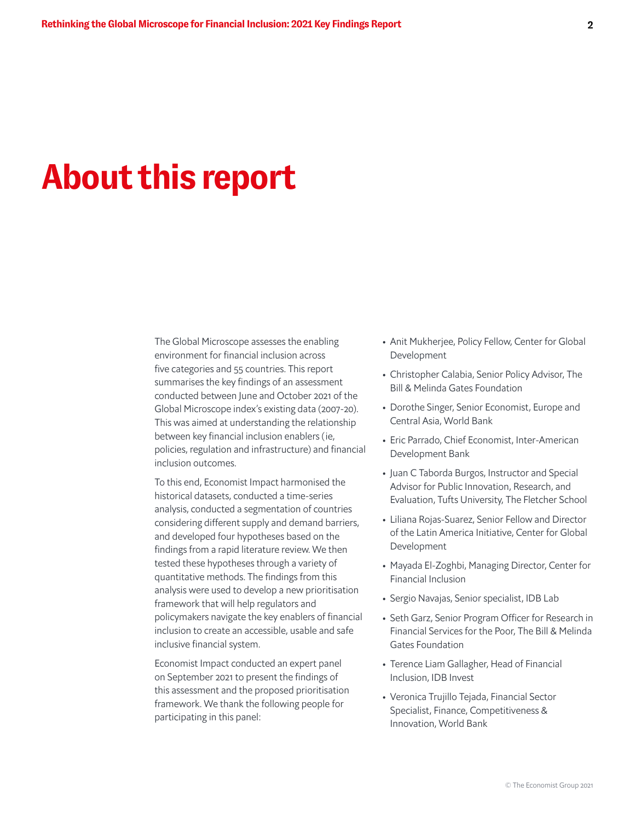## **About this report**

The Global Microscope assesses the enabling environment for financial inclusion across five categories and 55 countries. This report summarises the key findings of an assessment conducted between June and October 2021 of the Global Microscope index's existing data (2007-20). This was aimed at understanding the relationship between key financial inclusion enablers (ie, policies, regulation and infrastructure) and financial inclusion outcomes.

To this end, Economist Impact harmonised the historical datasets, conducted a time-series analysis, conducted a segmentation of countries considering different supply and demand barriers, and developed four hypotheses based on the findings from a rapid literature review. We then tested these hypotheses through a variety of quantitative methods. The findings from this analysis were used to develop a new prioritisation framework that will help regulators and policymakers navigate the key enablers of financial inclusion to create an accessible, usable and safe inclusive financial system.

Economist Impact conducted an expert panel on September 2021 to present the findings of this assessment and the proposed prioritisation framework. We thank the following people for participating in this panel:

- Anit Mukherjee, Policy Fellow, Center for Global Development
- Christopher Calabia, Senior Policy Advisor, The Bill & Melinda Gates Foundation
- Dorothe Singer, Senior Economist, Europe and Central Asia, World Bank
- Eric Parrado, Chief Economist, Inter-American Development Bank
- Juan C Taborda Burgos, Instructor and Special Advisor for Public Innovation, Research, and Evaluation, Tufts University, The Fletcher School
- Liliana Rojas-Suarez, Senior Fellow and Director of the Latin America Initiative, Center for Global Development
- Mayada El-Zoghbi, Managing Director, Center for Financial Inclusion
- Sergio Navajas, Senior specialist, IDB Lab
- Seth Garz, Senior Program Officer for Research in Financial Services for the Poor, The Bill & Melinda Gates Foundation
- Terence Liam Gallagher, Head of Financial Inclusion, IDB Invest
- Veronica Trujillo Tejada, Financial Sector Specialist, Finance, Competitiveness & Innovation, World Bank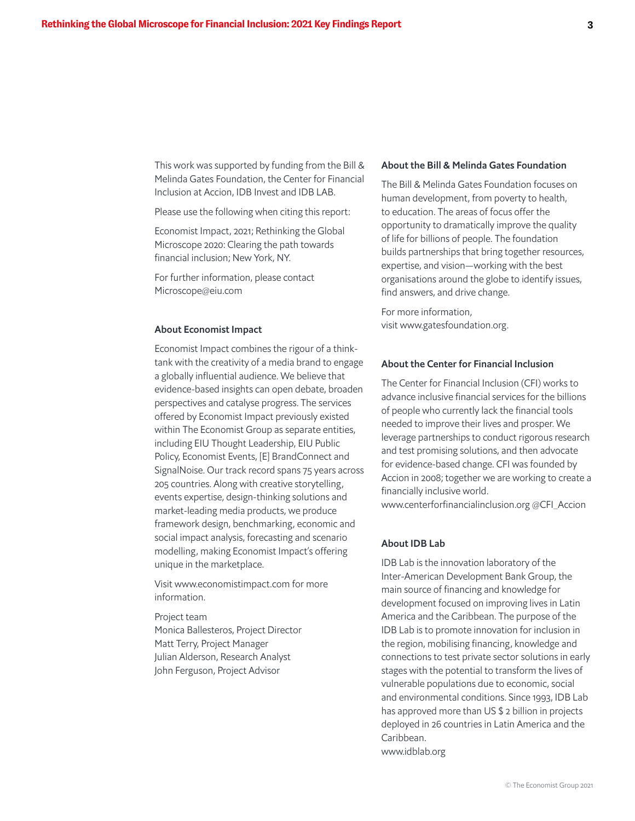This work was supported by funding from the Bill & Melinda Gates Foundation, the Center for Financial Inclusion at Accion, IDB Invest and IDB LAB.

Please use the following when citing this report:

Economist Impact, 2021; Rethinking the Global Microscope 2020: Clearing the path towards financial inclusion; New York, NY.

For further information, please contact Microscope@eiu.com

#### About Economist Impact

Economist Impact combines the rigour of a thinktank with the creativity of a media brand to engage a globally influential audience. We believe that evidence-based insights can open debate, broaden perspectives and catalyse progress. The services offered by Economist Impact previously existed within The Economist Group as separate entities, including EIU Thought Leadership, EIU Public Policy, Economist Events, [E] BrandConnect and SignalNoise. Our track record spans 75 years across 205 countries. Along with creative storytelling, events expertise, design-thinking solutions and market-leading media products, we produce framework design, benchmarking, economic and social impact analysis, forecasting and scenario modelling, making Economist Impact's offering unique in the marketplace.

Visit www.economistimpact.com for more information.

#### Project team

Monica Ballesteros, Project Director Matt Terry, Project Manager Julian Alderson, Research Analyst John Ferguson, Project Advisor

### About the Bill & Melinda Gates Foundation

The Bill & Melinda Gates Foundation focuses on human development, from poverty to health, to education. The areas of focus offer the opportunity to dramatically improve the quality of life for billions of people. The foundation builds partnerships that bring together resources, expertise, and vision—working with the best organisations around the globe to identify issues, find answers, and drive change.

For more information, visit www.gatesfoundation.org.

#### About the Center for Financial Inclusion

The Center for Financial Inclusion (CFI) works to advance inclusive financial services for the billions of people who currently lack the financial tools needed to improve their lives and prosper. We leverage partnerships to conduct rigorous research and test promising solutions, and then advocate for evidence-based change. CFI was founded by Accion in 2008; together we are working to create a financially inclusive world.

www.centerforfinancialinclusion.org @CFI\_Accion

#### About IDB Lab

IDB Lab is the innovation laboratory of the Inter-American Development Bank Group, the main source of financing and knowledge for development focused on improving lives in Latin America and the Caribbean. The purpose of the IDB Lab is to promote innovation for inclusion in the region, mobilising financing, knowledge and connections to test private sector solutions in early stages with the potential to transform the lives of vulnerable populations due to economic, social and environmental conditions. Since 1993, IDB Lab has approved more than US \$ 2 billion in projects deployed in 26 countries in Latin America and the Caribbean. www.idblab.org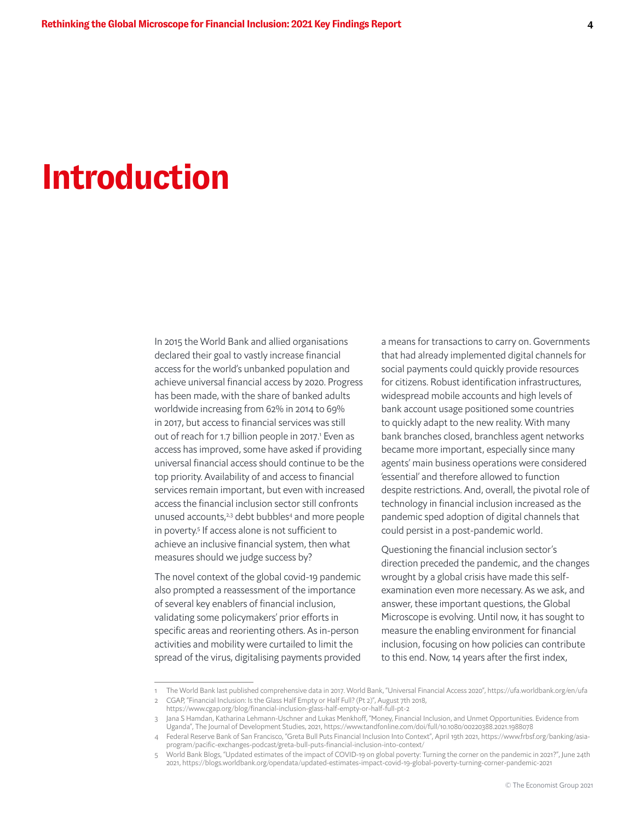## **Introduction**

In 2015 the World Bank and allied organisations declared their goal to vastly increase financial access for the world's unbanked population and achieve universal financial access by 2020. Progress has been made, with the share of banked adults worldwide increasing from 62% in 2014 to 69% in 2017, but access to financial services was still out of reach for 1.7 billion people in 2017.<sup>1</sup> Even as access has improved, some have asked if providing universal financial access should continue to be the top priority. Availability of and access to financial services remain important, but even with increased access the financial inclusion sector still confronts unused accounts,<sup>2,3</sup> debt bubbles<sup>4</sup> and more people in poverty.<sup>5</sup> If access alone is not sufficient to achieve an inclusive financial system, then what measures should we judge success by?

The novel context of the global covid-19 pandemic also prompted a reassessment of the importance of several key enablers of financial inclusion, validating some policymakers' prior efforts in specific areas and reorienting others. As in-person activities and mobility were curtailed to limit the spread of the virus, digitalising payments provided

a means for transactions to carry on. Governments that had already implemented digital channels for social payments could quickly provide resources for citizens. Robust identification infrastructures, widespread mobile accounts and high levels of bank account usage positioned some countries to quickly adapt to the new reality. With many bank branches closed, branchless agent networks became more important, especially since many agents' main business operations were considered 'essential' and therefore allowed to function despite restrictions. And, overall, the pivotal role of technology in financial inclusion increased as the pandemic sped adoption of digital channels that could persist in a post-pandemic world.

Questioning the financial inclusion sector's direction preceded the pandemic, and the changes wrought by a global crisis have made this selfexamination even more necessary. As we ask, and answer, these important questions, the Global Microscope is evolving. Until now, it has sought to measure the enabling environment for financial inclusion, focusing on how policies can contribute to this end. Now, 14 years after the first index,

<sup>1</sup> The World Bank last published comprehensive data in 2017. World Bank, "Universal Financial Access 2020", https://ufa.worldbank.org/en/ufa

<sup>2</sup> CGAP, "Financial Inclusion: Is the Glass Half Empty or Half Full? (Pt 2)", August 7th 2018,

https://www.cgap.org/blog/financial-inclusion-glass-half-empty-or-half-full-pt-2

<sup>3</sup> Jana S Hamdan, Katharina Lehmann-Uschner and Lukas Menkhoff, "Money, Financial Inclusion, and Unmet Opportunities. Evidence from Uganda", The Journal of Development Studies, 2021, https://www.tandfonline.com/doi/full/10.1080/00220388.2021.1988078

<sup>4</sup> Federal Reserve Bank of San Francisco, "Greta Bull Puts Financial Inclusion Into Context", April 19th 2021, https://www.frbsf.org/banking/asiaprogram/pacific-exchanges-podcast/greta-bull-puts-financial-inclusion-into-context/

<sup>5</sup> World Bank Blogs, "Updated estimates of the impact of COVID-19 on global poverty: Turning the corner on the pandemic in 2021?", June 24th 2021, https://blogs.worldbank.org/opendata/updated-estimates-impact-covid-19-global-poverty-turning-corner-pandemic-2021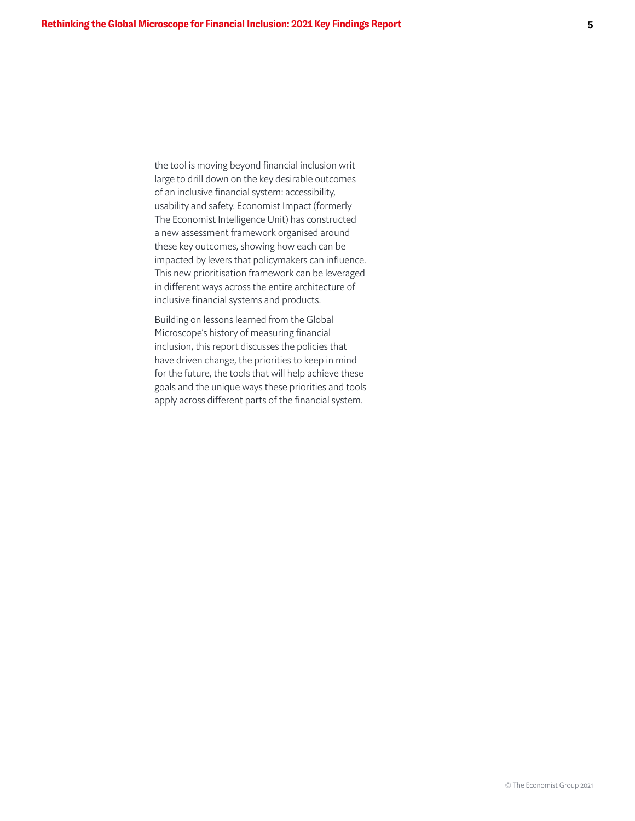the tool is moving beyond financial inclusion writ large to drill down on the key desirable outcomes of an inclusive financial system: accessibility, usability and safety. Economist Impact (formerly The Economist Intelligence Unit) has constructed a new assessment framework organised around these key outcomes, showing how each can be impacted by levers that policymakers can influence. This new prioritisation framework can be leveraged in different ways across the entire architecture of inclusive financial systems and products.

Building on lessons learned from the Global Microscope's history of measuring financial inclusion, this report discusses the policies that have driven change, the priorities to keep in mind for the future, the tools that will help achieve these goals and the unique ways these priorities and tools apply across different parts of the financial system.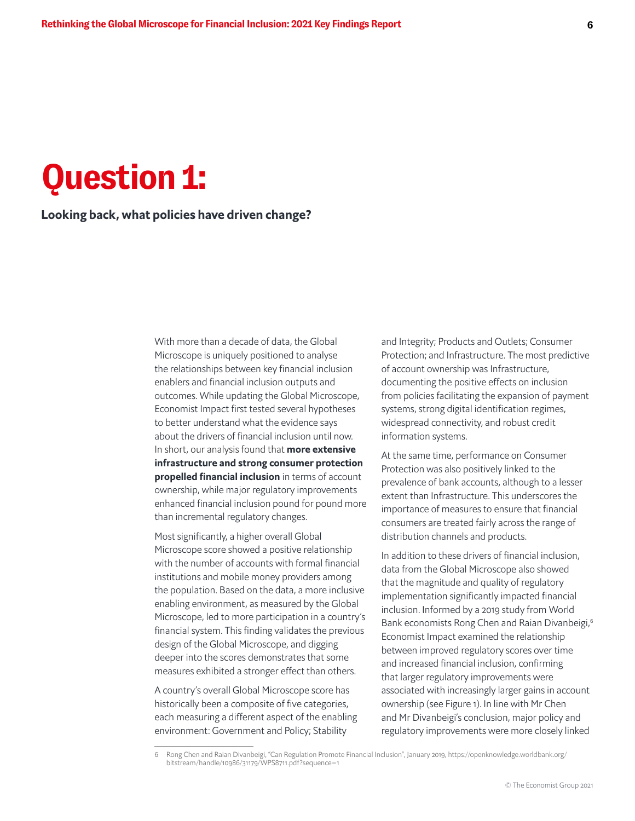## **Question 1:**

### Looking back, what policies have driven change?

With more than a decade of data, the Global Microscope is uniquely positioned to analyse the relationships between key financial inclusion enablers and financial inclusion outputs and outcomes. While updating the Global Microscope, Economist Impact first tested several hypotheses to better understand what the evidence says about the drivers of financial inclusion until now. In short, our analysis found that **more extensive** infrastructure and strong consumer protection propelled financial inclusion in terms of account ownership, while major regulatory improvements enhanced financial inclusion pound for pound more than incremental regulatory changes.

Most significantly, a higher overall Global Microscope score showed a positive relationship with the number of accounts with formal financial institutions and mobile money providers among the population. Based on the data, a more inclusive enabling environment, as measured by the Global Microscope, led to more participation in a country's financial system. This finding validates the previous design of the Global Microscope, and digging deeper into the scores demonstrates that some measures exhibited a stronger effect than others.

A country's overall Global Microscope score has historically been a composite of five categories, each measuring a different aspect of the enabling environment: Government and Policy; Stability

and Integrity; Products and Outlets; Consumer Protection; and Infrastructure. The most predictive of account ownership was Infrastructure, documenting the positive effects on inclusion from policies facilitating the expansion of payment systems, strong digital identification regimes, widespread connectivity, and robust credit information systems.

At the same time, performance on Consumer Protection was also positively linked to the prevalence of bank accounts, although to a lesser extent than Infrastructure. This underscores the importance of measures to ensure that financial consumers are treated fairly across the range of distribution channels and products.

In addition to these drivers of financial inclusion, data from the Global Microscope also showed that the magnitude and quality of regulatory implementation significantly impacted financial inclusion. Informed by a 2019 study from World Bank economists Rong Chen and Raian Divanbeigi,<sup>6</sup> Economist Impact examined the relationship between improved regulatory scores over time and increased financial inclusion, confirming that larger regulatory improvements were associated with increasingly larger gains in account ownership (see Figure 1). In line with Mr Chen and Mr Divanbeigi's conclusion, major policy and regulatory improvements were more closely linked

<sup>6</sup> Rong Chen and Raian Divanbeigi, "Can Regulation Promote Financial Inclusion", January 2019, https://openknowledge.worldbank.org/ bitstream/handle/10986/31179/WPS8711.pdf?sequence=1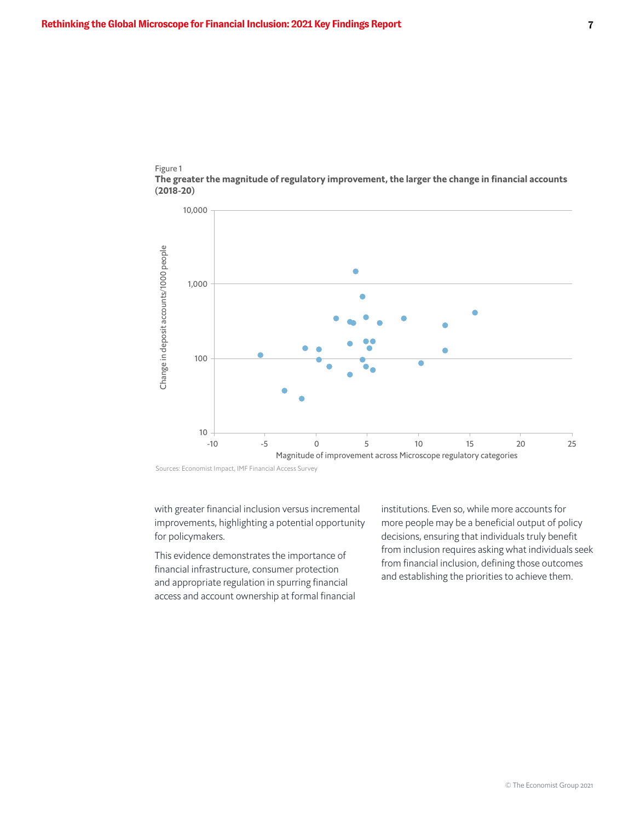



Sources: Economist Impact, IMF Financial Access Survey

with greater financial inclusion versus incremental improvements, highlighting a potential opportunity for policymakers.

This evidence demonstrates the importance of financial infrastructure, consumer protection and appropriate regulation in spurring financial access and account ownership at formal financial institutions. Even so, while more accounts for more people may be a beneficial output of policy decisions, ensuring that individuals truly benefit from inclusion requires asking what individuals seek from financial inclusion, defining those outcomes and establishing the priorities to achieve them.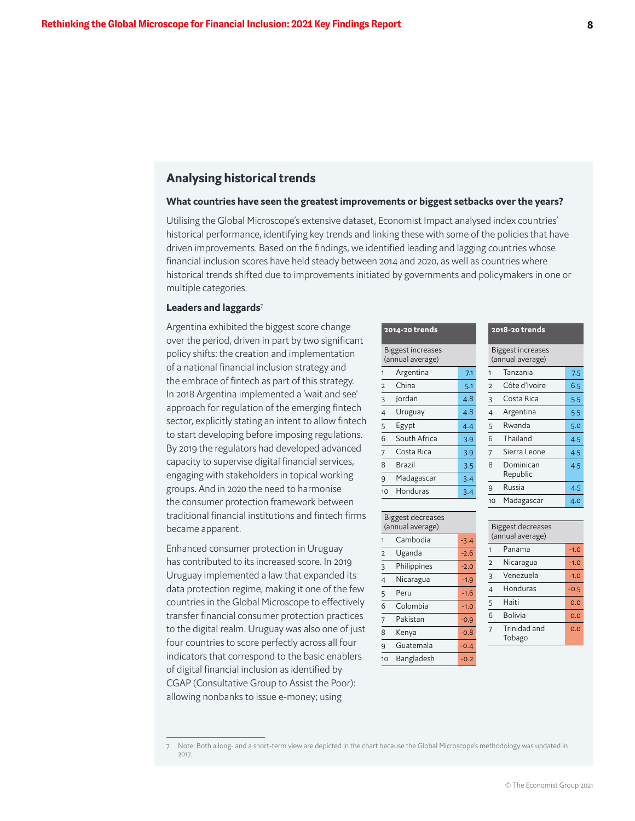### Analysing historical trends

#### What countries have seen the greatest improvements or biggest setbacks over the years?

Utilising the Global Microscope's extensive dataset, Economist Impact analysed index countries' historical performance, identifying key trends and linking these with some of the policies that have driven improvements. Based on the findings, we identified leading and lagging countries whose financial inclusion scores have held steady between 2014 and 2020, as well as countries where historical trends shifted due to improvements initiated by governments and policymakers in one or multiple categories.

#### Leaders and laggards<sup>7</sup>

Argentina exhibited the biggest score change over the period, driven in part by two significant policy shifts: the creation and implementation of a national financial inclusion strategy and the embrace of fintech as part of this strategy. In 2018 Argentina implemented a 'wait and see' approach for regulation of the emerging fintech sector, explicitly stating an intent to allow fintech to start developing before imposing regulations. By 2019 the regulators had developed advanced capacity to supervise digital financial services, engaging with stakeholders in topical working groups. And in 2020 the need to harmonise the consumer protection framework between traditional financial institutions and fintech firms became apparent.

Enhanced consumer protection in Uruguay has contributed to its increased score. In 2019 Uruguay implemented a law that expanded its data protection regime, making it one of the few countries in the Global Microscope to effectively transfer financial consumer protection practices to the digital realm. Uruguay was also one of just four countries to score perfectly across all four indicators that correspond to the basic enablers of digital financial inclusion as identified by CGAP (Consultative Group to Assist the Poor): allowing nonbanks to issue e-money; using

| 2014-20 trends                               |              |     |  |  |  |  |
|----------------------------------------------|--------------|-----|--|--|--|--|
| <b>Biggest increases</b><br>(annual average) |              |     |  |  |  |  |
| 1                                            | Argentina    | 7.1 |  |  |  |  |
| $\overline{2}$                               | China        | 5.1 |  |  |  |  |
| 3                                            | Jordan       | 4.8 |  |  |  |  |
| $\overline{4}$                               | Uruguay      | 4.8 |  |  |  |  |
| 5                                            | Egypt        | 4.4 |  |  |  |  |
| 6                                            | South Africa | 3.9 |  |  |  |  |
| 7                                            | Costa Rica   | 3.9 |  |  |  |  |
| 8                                            | Brazil       | 3.5 |  |  |  |  |
| 9                                            | Madagascar   | 3.4 |  |  |  |  |
| 10                                           | Honduras     | 3.4 |  |  |  |  |

| 10                                    | Honduras    | 3.4    | ┘              |
|---------------------------------------|-------------|--------|----------------|
|                                       |             |        | 10             |
| Biggest decreases<br>(annual average) | Bi          |        |                |
| 1                                     | Cambodia    | $-3.4$ | (a             |
| $\overline{2}$                        | Uganda      | $-2.6$ | 1              |
| 3                                     | Philippines | $-2.0$ | 2              |
| $\overline{4}$                        | Nicaragua   | $-1.9$ | $\overline{a}$ |
| 5                                     | Peru        | -1.6   | $\frac{4}{1}$  |
| 6                                     | Colombia    | $-1.0$ | $\overline{5}$ |
| 7                                     | Pakistan    | $-0.9$ | 6              |
| 8                                     | Kenya       | $-0.8$ | $\overline{7}$ |
| 9                                     | Guatemala   | $-0.4$ |                |
| 10                                    | Bangladesh  | $-0.2$ |                |

| <b>Biggest increases</b><br>(annual average) |                       |     |  |  |  |
|----------------------------------------------|-----------------------|-----|--|--|--|
| 1                                            | 7.5                   |     |  |  |  |
| $\overline{2}$                               | Côte d'Ivoire         |     |  |  |  |
| 3                                            | Costa Rica            |     |  |  |  |
| $\overline{4}$                               | Argentina             |     |  |  |  |
| 5                                            | Rwanda                | 5.0 |  |  |  |
| 6                                            | Thailand              | 4.5 |  |  |  |
| 7                                            | Sierra Leone          | 4.5 |  |  |  |
| 8                                            | Dominican<br>Republic | 4.5 |  |  |  |
| 9                                            | Russia                | 4.5 |  |  |  |
| 10                                           | Madagascar            | 4.0 |  |  |  |
|                                              |                       |     |  |  |  |

2018-20 trends

| <b>Biggest decreases</b><br>(annual average) |                        |        |  |  |  |
|----------------------------------------------|------------------------|--------|--|--|--|
| 1                                            | Panama                 | $-1.0$ |  |  |  |
| $\overline{2}$                               | Nicaragua              | $-1.0$ |  |  |  |
| 3                                            | Venezuela              | $-1.0$ |  |  |  |
| $\overline{4}$                               | Honduras               | $-0.5$ |  |  |  |
| $\frac{5}{1}$                                | Haiti                  | 0.O    |  |  |  |
| 6                                            | <b>Bolivia</b>         | 0.0    |  |  |  |
| $\overline{7}$                               | Trinidad and<br>Tobago | o.o    |  |  |  |

7 Note: Both a long- and a short-term view are depicted in the chart because the Global Microscope's methodology was updated in 2017.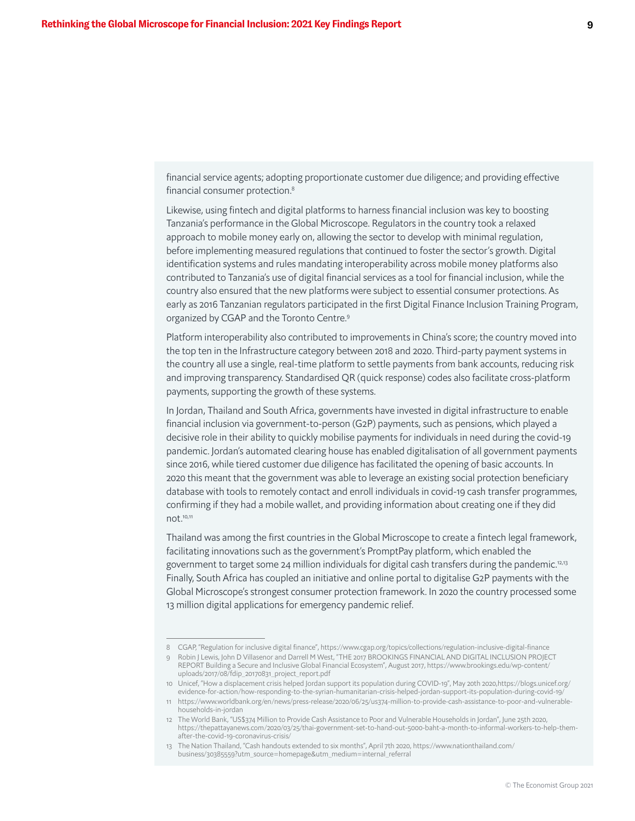financial service agents; adopting proportionate customer due diligence; and providing effective financial consumer protection.<sup>8</sup>

Likewise, using fintech and digital platforms to harness financial inclusion was key to boosting Tanzania's performance in the Global Microscope. Regulators in the country took a relaxed approach to mobile money early on, allowing the sector to develop with minimal regulation, before implementing measured regulations that continued to foster the sector's growth. Digital identification systems and rules mandating interoperability across mobile money platforms also contributed to Tanzania's use of digital financial services as a tool for financial inclusion, while the country also ensured that the new platforms were subject to essential consumer protections. As early as 2016 Tanzanian regulators participated in the first Digital Finance Inclusion Training Program, organized by CGAP and the Toronto Centre.9

Platform interoperability also contributed to improvements in China's score; the country moved into the top ten in the Infrastructure category between 2018 and 2020. Third-party payment systems in the country all use a single, real-time platform to settle payments from bank accounts, reducing risk and improving transparency. Standardised QR (quick response) codes also facilitate cross-platform payments, supporting the growth of these systems.

In Jordan, Thailand and South Africa, governments have invested in digital infrastructure to enable financial inclusion via government-to-person (G2P) payments, such as pensions, which played a decisive role in their ability to quickly mobilise payments for individuals in need during the covid-19 pandemic. Jordan's automated clearing house has enabled digitalisation of all government payments since 2016, while tiered customer due diligence has facilitated the opening of basic accounts. In 2020 this meant that the government was able to leverage an existing social protection beneficiary database with tools to remotely contact and enroll individuals in covid-19 cash transfer programmes, confirming if they had a mobile wallet, and providing information about creating one if they did not.10,11

Thailand was among the first countries in the Global Microscope to create a fintech legal framework, facilitating innovations such as the government's PromptPay platform, which enabled the government to target some 24 million individuals for digital cash transfers during the pandemic.<sup>12,13</sup> Finally, South Africa has coupled an initiative and online portal to digitalise G2P payments with the Global Microscope's strongest consumer protection framework. In 2020 the country processed some 13 million digital applications for emergency pandemic relief.

<sup>8</sup> CGAP, "Regulation for inclusive digital finance", https://www.cgap.org/topics/collections/regulation-inclusive-digital-finance

<sup>9</sup> Robin J Lewis, John D Villasenor and Darrell M West, "THE 2017 BROOKINGS FINANCIAL AND DIGITAL INCLUSION PROJECT REPORT Building a Secure and Inclusive Global Financial Ecosystem", August 2017, https://www.brookings.edu/wp-content/ uploads/2017/08/fdip\_20170831\_project\_report.pdf

<sup>10</sup> Unicef, "How a displacement crisis helped Jordan support its population during COVID-19", May 20th 2020,https://blogs.unicef.org/ evidence-for-action/how-responding-to-the-syrian-humanitarian-crisis-helped-jordan-support-its-population-during-covid-19/

<sup>11</sup> https://www.worldbank.org/en/news/press-release/2020/06/25/us374-million-to-provide-cash-assistance-to-poor-and-vulnerablehouseholds-in-jordan

<sup>12</sup> The World Bank, "US\$374 Million to Provide Cash Assistance to Poor and Vulnerable Households in Jordan", June 25th 2020, https://thepattayanews.com/2020/03/25/thai-government-set-to-hand-out-5000-baht-a-month-to-informal-workers-to-help-themafter-the-covid-19-coronavirus-crisis/

<sup>13</sup> The Nation Thailand, "Cash handouts extended to six months", April 7th 2020, https://www.nationthailand.com/ business/30385559?utm\_source=homepage&utm\_medium=internal\_referral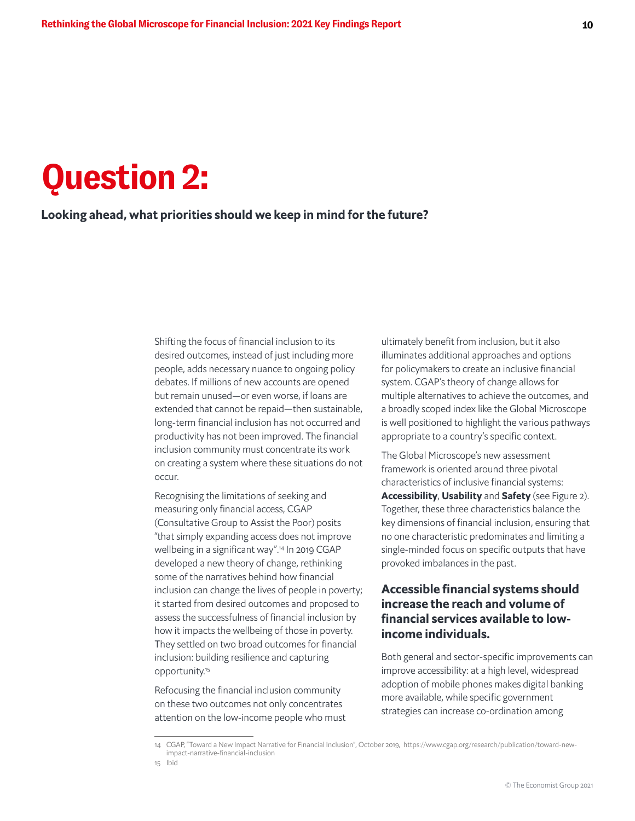# **Question 2:**

## Looking ahead, what priorities should we keep in mind for the future?

Shifting the focus of financial inclusion to its desired outcomes, instead of just including more people, adds necessary nuance to ongoing policy debates. If millions of new accounts are opened but remain unused—or even worse, if loans are extended that cannot be repaid—then sustainable, long-term financial inclusion has not occurred and productivity has not been improved. The financial inclusion community must concentrate its work on creating a system where these situations do not occur.

Recognising the limitations of seeking and measuring only financial access, CGAP (Consultative Group to Assist the Poor) posits "that simply expanding access does not improve wellbeing in a significant way".14 In 2019 CGAP developed a new theory of change, rethinking some of the narratives behind how financial inclusion can change the lives of people in poverty; it started from desired outcomes and proposed to assess the successfulness of financial inclusion by how it impacts the wellbeing of those in poverty. They settled on two broad outcomes for financial inclusion: building resilience and capturing opportunity.15

Refocusing the financial inclusion community on these two outcomes not only concentrates attention on the low-income people who must ultimately benefit from inclusion, but it also illuminates additional approaches and options for policymakers to create an inclusive financial system. CGAP's theory of change allows for multiple alternatives to achieve the outcomes, and a broadly scoped index like the Global Microscope is well positioned to highlight the various pathways appropriate to a country's specific context.

The Global Microscope's new assessment framework is oriented around three pivotal characteristics of inclusive financial systems: Accessibility, Usability and Safety (see Figure 2). Together, these three characteristics balance the key dimensions of financial inclusion, ensuring that no one characteristic predominates and limiting a single-minded focus on specific outputs that have provoked imbalances in the past.

## Accessible financial systems should increase the reach and volume of financial services available to lowincome individuals.

Both general and sector-specific improvements can improve accessibility: at a high level, widespread adoption of mobile phones makes digital banking more available, while specific government strategies can increase co-ordination among

<sup>14</sup> CGAP, "Toward a New Impact Narrative for Financial Inclusion", October 2019, https://www.cgap.org/research/publication/toward-newimpact-narrative-financial-inclusion

<sup>15</sup> Ibid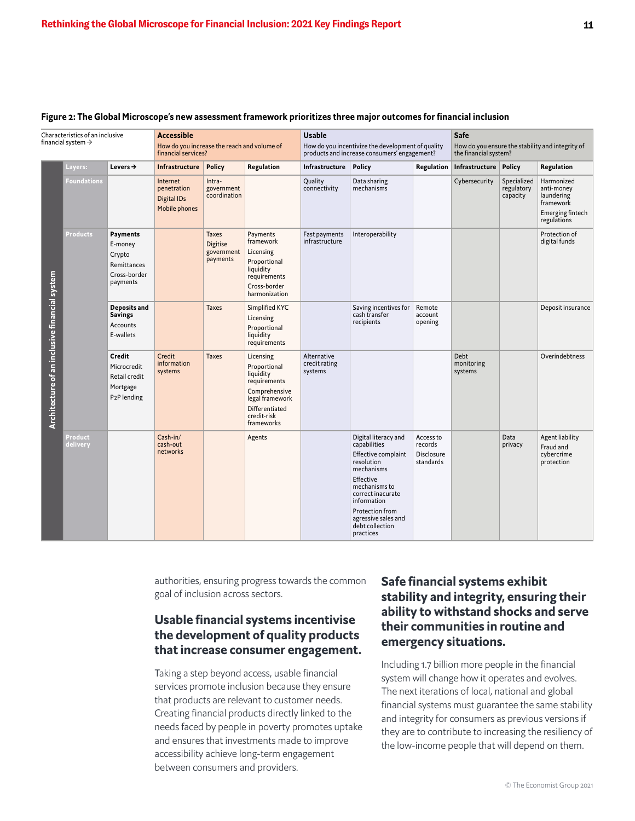| Characteristics of an inclusive<br>financial system $\rightarrow$ |                     | <b>Accessible</b><br>How do you increase the reach and volume of<br>financial services? |                                                                | <b>Usable</b><br>How do you incentivize the development of quality<br>products and increase consumers' engagement? |                                                                                                                                           |                                         | Safe<br>How do you ensure the stability and integrity of<br>the financial system?                                                                                                                                                   |                                                        |                                      |                                       |                                                                                        |
|-------------------------------------------------------------------|---------------------|-----------------------------------------------------------------------------------------|----------------------------------------------------------------|--------------------------------------------------------------------------------------------------------------------|-------------------------------------------------------------------------------------------------------------------------------------------|-----------------------------------------|-------------------------------------------------------------------------------------------------------------------------------------------------------------------------------------------------------------------------------------|--------------------------------------------------------|--------------------------------------|---------------------------------------|----------------------------------------------------------------------------------------|
|                                                                   | Layers:             | Levers $\rightarrow$                                                                    | Infrastructure                                                 | <b>Policy</b>                                                                                                      | Regulation                                                                                                                                | Infrastructure                          | <b>Policy</b>                                                                                                                                                                                                                       | Regulation                                             | Infrastructure                       | <b>Policy</b>                         | Regulation                                                                             |
|                                                                   | <b>Foundations</b>  |                                                                                         | Internet<br>penetration<br><b>Digital IDs</b><br>Mobile phones | Intra-<br>government<br>coordination                                                                               |                                                                                                                                           | Quality<br>connectivity                 | Data sharing<br>mechanisms                                                                                                                                                                                                          |                                                        | Cybersecurity                        | Specialized<br>regulatory<br>capacity | Harmonized<br>anti-money<br>laundering<br>framework<br>Emerging fintech<br>regulations |
| Architecture of an inclusive financial system                     | <b>Products</b>     | Payments<br>E-money<br>Crypto<br>Remittances<br>Cross-border<br>payments                |                                                                | <b>Taxes</b><br><b>Digitise</b><br>government<br>payments                                                          | Payments<br>framework<br>Licensing<br>Proportional<br>liquidity<br>requirements<br>Cross-border<br>harmonization                          | Fast payments<br>infrastructure         | Interoperability                                                                                                                                                                                                                    |                                                        |                                      |                                       | Protection of<br>digital funds                                                         |
|                                                                   |                     | Deposits and<br><b>Savings</b><br>Accounts<br>E-wallets                                 |                                                                | <b>Taxes</b>                                                                                                       | Simplified KYC<br>Licensing<br>Proportional<br>liquidity<br>requirements                                                                  |                                         | Saving incentives for<br>cash transfer<br>recipients                                                                                                                                                                                | Remote<br>account<br>opening                           |                                      |                                       | Deposit insurance                                                                      |
|                                                                   |                     | Credit<br>Microcredit<br>Retail credit<br>Mortgage<br>P <sub>2</sub> P lending          | Credit<br>information<br>systems                               | <b>Taxes</b>                                                                                                       | Licensing<br>Proportional<br>liquidity<br>requirements<br>Comprehensive<br>legal framework<br>Differentiated<br>credit-risk<br>frameworks | Alternative<br>credit rating<br>systems |                                                                                                                                                                                                                                     |                                                        | <b>Debt</b><br>monitoring<br>systems |                                       | Overindebtness                                                                         |
|                                                                   | Product<br>delivery |                                                                                         | $Cash-in/$<br>cash-out<br>networks                             |                                                                                                                    | Agents                                                                                                                                    |                                         | Digital literacy and<br>capabilities<br>Effective complaint<br>resolution<br>mechanisms<br>Effective<br>mechanisms to<br>correct inacurate<br>information<br>Protection from<br>agressive sales and<br>debt collection<br>practices | Access to<br>records<br><b>Disclosure</b><br>standards |                                      | Data<br>privacy                       | <b>Agent liability</b><br>Fraud and<br>cybercrime<br>protection                        |

#### Figure 2: The Global Microscope's new assessment framework prioritizes three major outcomes for financial inclusion

authorities, ensuring progress towards the common goal of inclusion across sectors.

## Usable financial systems incentivise the development of quality products that increase consumer engagement.

Taking a step beyond access, usable financial services promote inclusion because they ensure that products are relevant to customer needs. Creating financial products directly linked to the needs faced by people in poverty promotes uptake and ensures that investments made to improve accessibility achieve long-term engagement between consumers and providers.

## Safe financial systems exhibit stability and integrity, ensuring their ability to withstand shocks and serve their communities in routine and emergency situations.

Including 1.7 billion more people in the financial system will change how it operates and evolves. The next iterations of local, national and global financial systems must guarantee the same stability and integrity for consumers as previous versions if they are to contribute to increasing the resiliency of the low-income people that will depend on them.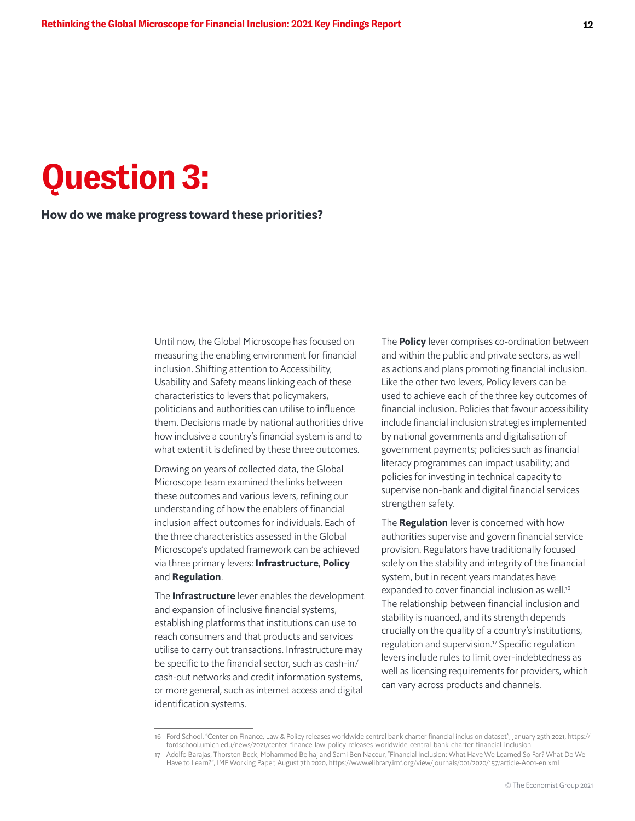## **Question 3:**

### How do we make progress toward these priorities?

Until now, the Global Microscope has focused on measuring the enabling environment for financial inclusion. Shifting attention to Accessibility, Usability and Safety means linking each of these characteristics to levers that policymakers, politicians and authorities can utilise to influence them. Decisions made by national authorities drive how inclusive a country's financial system is and to what extent it is defined by these three outcomes.

Drawing on years of collected data, the Global Microscope team examined the links between these outcomes and various levers, refining our understanding of how the enablers of financial inclusion affect outcomes for individuals. Each of the three characteristics assessed in the Global Microscope's updated framework can be achieved via three primary levers: Infrastructure, Policy and Regulation.

The **Infrastructure** lever enables the development and expansion of inclusive financial systems, establishing platforms that institutions can use to reach consumers and that products and services utilise to carry out transactions. Infrastructure may be specific to the financial sector, such as cash-in/ cash-out networks and credit information systems, or more general, such as internet access and digital identification systems.

The **Policy** lever comprises co-ordination between and within the public and private sectors, as well as actions and plans promoting financial inclusion. Like the other two levers, Policy levers can be used to achieve each of the three key outcomes of financial inclusion. Policies that favour accessibility include financial inclusion strategies implemented by national governments and digitalisation of government payments; policies such as financial literacy programmes can impact usability; and policies for investing in technical capacity to supervise non-bank and digital financial services strengthen safety.

The **Regulation** lever is concerned with how authorities supervise and govern financial service provision. Regulators have traditionally focused solely on the stability and integrity of the financial system, but in recent years mandates have expanded to cover financial inclusion as well.<sup>16</sup> The relationship between financial inclusion and stability is nuanced, and its strength depends crucially on the quality of a country's institutions, regulation and supervision.<sup>17</sup> Specific regulation levers include rules to limit over-indebtedness as well as licensing requirements for providers, which can vary across products and channels.

<sup>16</sup> Ford School, "Center on Finance, Law & Policy releases worldwide central bank charter financial inclusion dataset", January 25th 2021, https:// fordschool.umich.edu/news/2021/center-finance-law-policy-releases-worldwide-central-bank-charter-financial-inclusion

<sup>17</sup> Adolfo Barajas, Thorsten Beck, Mohammed Belhaj and Sami Ben Naceur, "Financial Inclusion: What Have We Learned So Far? What Do We Have to Learn?", IMF Working Paper, August 7th 2020, https://www.elibrary.imf.org/view/journals/001/2020/157/article-A001-en.xml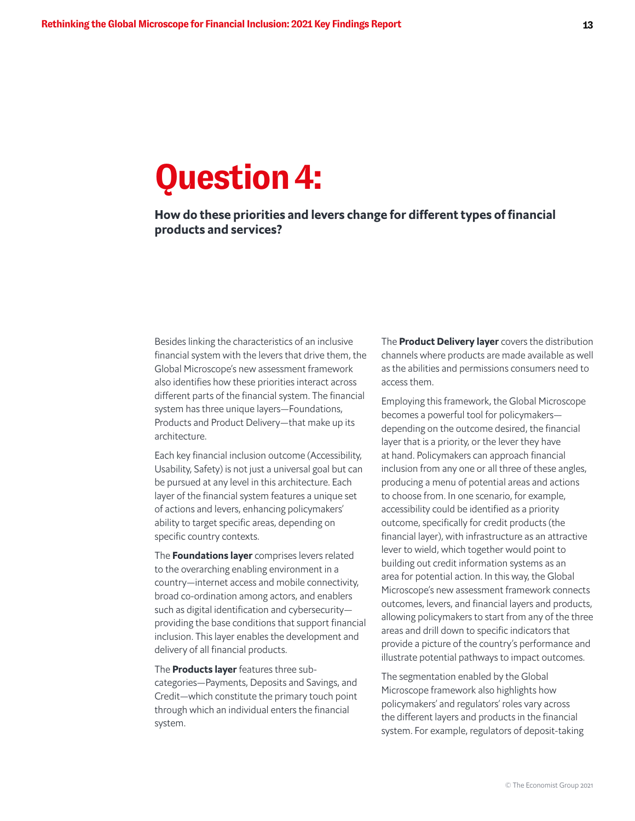## **Question 4:**

How do these priorities and levers change for different types of financial products and services?

Besides linking the characteristics of an inclusive financial system with the levers that drive them, the Global Microscope's new assessment framework also identifies how these priorities interact across different parts of the financial system. The financial system has three unique layers—Foundations, Products and Product Delivery—that make up its architecture.

Each key financial inclusion outcome (Accessibility, Usability, Safety) is not just a universal goal but can be pursued at any level in this architecture. Each layer of the financial system features a unique set of actions and levers, enhancing policymakers' ability to target specific areas, depending on specific country contexts.

The **Foundations layer** comprises levers related to the overarching enabling environment in a country—internet access and mobile connectivity, broad co-ordination among actors, and enablers such as digital identification and cybersecurity providing the base conditions that support financial inclusion. This layer enables the development and delivery of all financial products.

The **Products layer** features three subcategories—Payments, Deposits and Savings, and Credit—which constitute the primary touch point through which an individual enters the financial system.

The **Product Delivery layer** covers the distribution channels where products are made available as well as the abilities and permissions consumers need to access them.

Employing this framework, the Global Microscope becomes a powerful tool for policymakers depending on the outcome desired, the financial layer that is a priority, or the lever they have at hand. Policymakers can approach financial inclusion from any one or all three of these angles, producing a menu of potential areas and actions to choose from. In one scenario, for example, accessibility could be identified as a priority outcome, specifically for credit products (the financial layer), with infrastructure as an attractive lever to wield, which together would point to building out credit information systems as an area for potential action. In this way, the Global Microscope's new assessment framework connects outcomes, levers, and financial layers and products, allowing policymakers to start from any of the three areas and drill down to specific indicators that provide a picture of the country's performance and illustrate potential pathways to impact outcomes.

The segmentation enabled by the Global Microscope framework also highlights how policymakers' and regulators' roles vary across the different layers and products in the financial system. For example, regulators of deposit-taking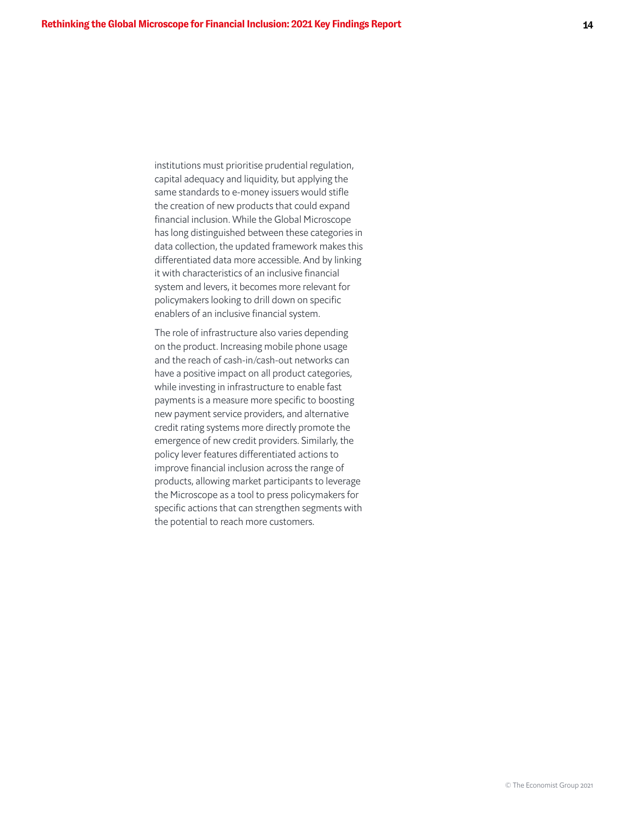institutions must prioritise prudential regulation, capital adequacy and liquidity, but applying the same standards to e-money issuers would stifle the creation of new products that could expand financial inclusion. While the Global Microscope has long distinguished between these categories in data collection, the updated framework makes this differentiated data more accessible. And by linking it with characteristics of an inclusive financial system and levers, it becomes more relevant for policymakers looking to drill down on specific enablers of an inclusive financial system.

The role of infrastructure also varies depending on the product. Increasing mobile phone usage and the reach of cash-in/cash-out networks can have a positive impact on all product categories, while investing in infrastructure to enable fast payments is a measure more specific to boosting new payment service providers, and alternative credit rating systems more directly promote the emergence of new credit providers. Similarly, the policy lever features differentiated actions to improve financial inclusion across the range of products, allowing market participants to leverage the Microscope as a tool to press policymakers for specific actions that can strengthen segments with the potential to reach more customers.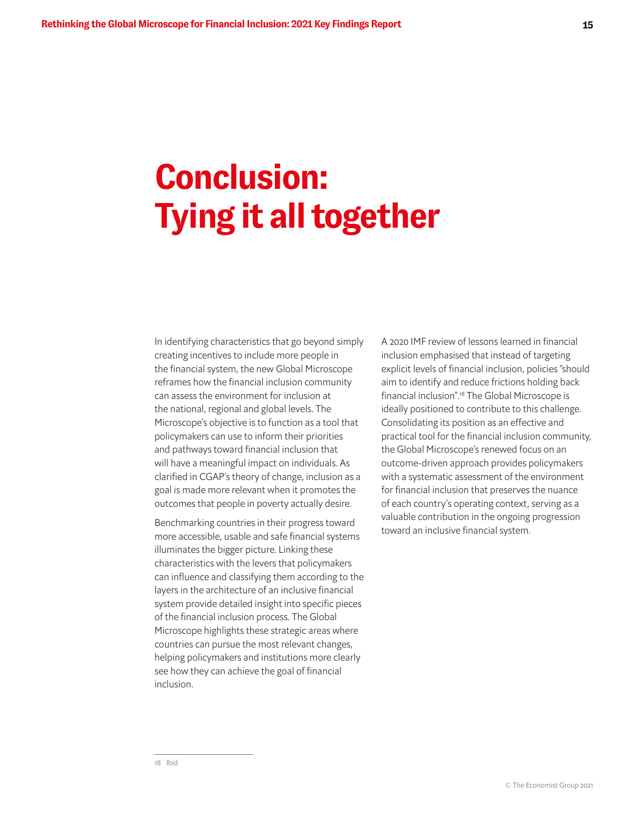# **Conclusion: Tying it all together**

In identifying characteristics that go beyond simply creating incentives to include more people in the financial system, the new Global Microscope reframes how the financial inclusion community can assess the environment for inclusion at the national, regional and global levels. The Microscope's objective is to function as a tool that policymakers can use to inform their priorities and pathways toward financial inclusion that will have a meaningful impact on individuals. As clarified in CGAP's theory of change, inclusion as a goal is made more relevant when it promotes the outcomes that people in poverty actually desire.

Benchmarking countries in their progress toward more accessible, usable and safe financial systems illuminates the bigger picture. Linking these characteristics with the levers that policymakers can influence and classifying them according to the layers in the architecture of an inclusive financial system provide detailed insight into specific pieces of the financial inclusion process. The Global Microscope highlights these strategic areas where countries can pursue the most relevant changes, helping policymakers and institutions more clearly see how they can achieve the goal of financial inclusion.

A 2020 IMF review of lessons learned in financial inclusion emphasised that instead of targeting explicit levels of financial inclusion, policies "should aim to identify and reduce frictions holding back financial inclusion".18 The Global Microscope is ideally positioned to contribute to this challenge. Consolidating its position as an effective and practical tool for the financial inclusion community, the Global Microscope's renewed focus on an outcome-driven approach provides policymakers with a systematic assessment of the environment for financial inclusion that preserves the nuance of each country's operating context, serving as a valuable contribution in the ongoing progression toward an inclusive financial system.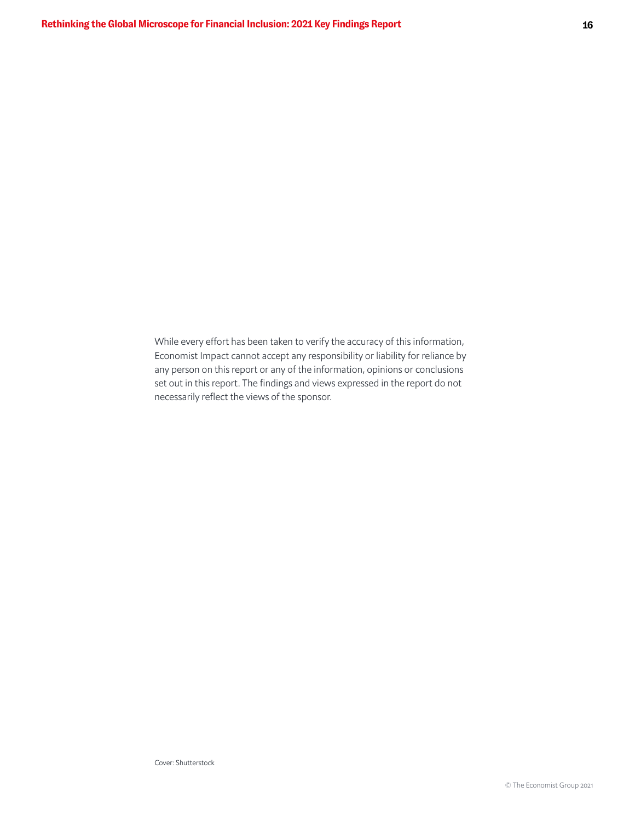While every effort has been taken to verify the accuracy of this information, Economist Impact cannot accept any responsibility or liability for reliance by any person on this report or any of the information, opinions or conclusions set out in this report. The findings and views expressed in the report do not necessarily reflect the views of the sponsor.